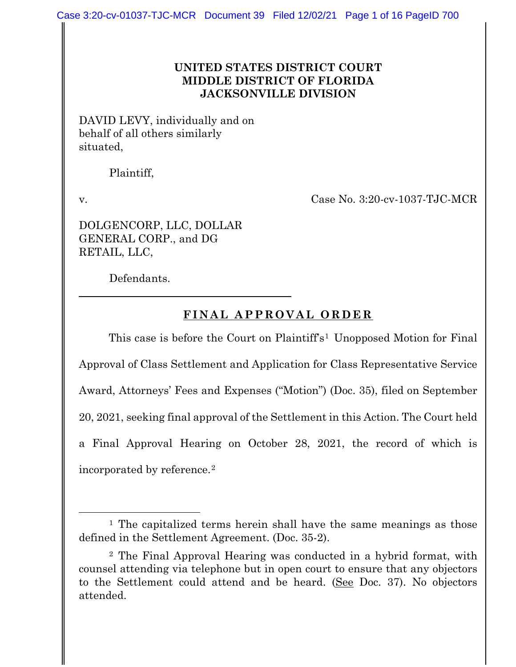#### **UNITED STATES DISTRICT COURT MIDDLE DISTRICT OF FLORIDA JACKSONVILLE DIVISION**

DAVID LEVY, individually and on behalf of all others similarly situated,

Plaintiff,

v. Case No. 3:20-cv-1037-TJC-MCR

DOLGENCORP, LLC, DOLLAR GENERAL CORP., and DG RETAIL, LLC,

Defendants.

# **FINAL APPROVAL ORDER**

This case is before the Court on Plaintiff's<sup>[1](#page-0-0)</sup> Unopposed Motion for Final Approval of Class Settlement and Application for Class Representative Service Award, Attorneys' Fees and Expenses ("Motion") (Doc. 35), filed on September 20, 2021, seeking final approval of the Settlement in this Action. The Court held a Final Approval Hearing on October 28, 2021, the record of which is incorporated by reference.[2](#page-0-1)

<span id="page-0-0"></span><sup>&</sup>lt;sup>1</sup> The capitalized terms herein shall have the same meanings as those defined in the Settlement Agreement. (Doc. 35-2).

<span id="page-0-1"></span><sup>2</sup> The Final Approval Hearing was conducted in a hybrid format, with counsel attending via telephone but in open court to ensure that any objectors to the Settlement could attend and be heard. (See Doc. 37). No objectors attended.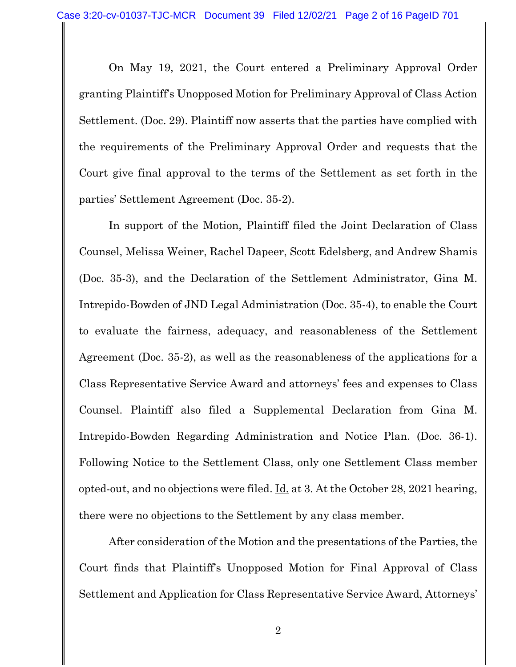On May 19, 2021, the Court entered a Preliminary Approval Order granting Plaintiff's Unopposed Motion for Preliminary Approval of Class Action Settlement. (Doc. 29). Plaintiff now asserts that the parties have complied with the requirements of the Preliminary Approval Order and requests that the Court give final approval to the terms of the Settlement as set forth in the parties' Settlement Agreement (Doc. 35-2).

In support of the Motion, Plaintiff filed the Joint Declaration of Class Counsel, Melissa Weiner, Rachel Dapeer, Scott Edelsberg, and Andrew Shamis (Doc. 35-3), and the Declaration of the Settlement Administrator, Gina M. Intrepido-Bowden of JND Legal Administration (Doc. 35-4), to enable the Court to evaluate the fairness, adequacy, and reasonableness of the Settlement Agreement (Doc. 35-2), as well as the reasonableness of the applications for a Class Representative Service Award and attorneys' fees and expenses to Class Counsel. Plaintiff also filed a Supplemental Declaration from Gina M. Intrepido-Bowden Regarding Administration and Notice Plan. (Doc. 36-1). Following Notice to the Settlement Class, only one Settlement Class member opted-out, and no objections were filed. Id. at 3. At the October 28, 2021 hearing, there were no objections to the Settlement by any class member.

After consideration of the Motion and the presentations of the Parties, the Court finds that Plaintiff's Unopposed Motion for Final Approval of Class Settlement and Application for Class Representative Service Award, Attorneys'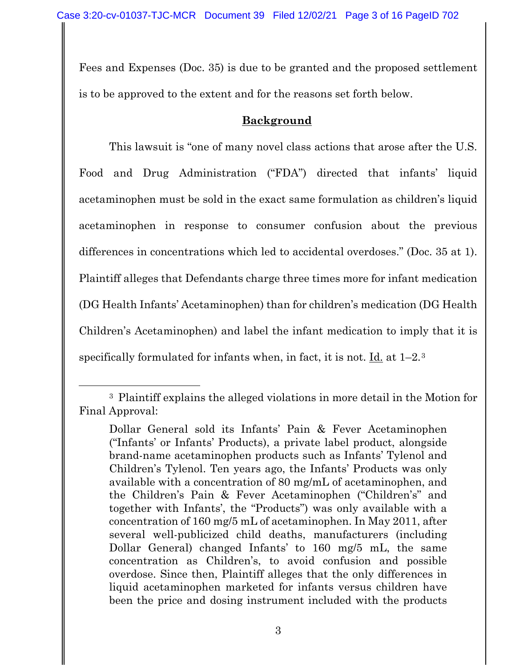Fees and Expenses (Doc. 35) is due to be granted and the proposed settlement is to be approved to the extent and for the reasons set forth below.

## **Background**

This lawsuit is "one of many novel class actions that arose after the U.S. Food and Drug Administration ("FDA") directed that infants' liquid acetaminophen must be sold in the exact same formulation as children's liquid acetaminophen in response to consumer confusion about the previous differences in concentrations which led to accidental overdoses." (Doc. 35 at 1). Plaintiff alleges that Defendants charge three times more for infant medication (DG Health Infants' Acetaminophen) than for children's medication (DG Health Children's Acetaminophen) and label the infant medication to imply that it is specifically formulated for infants when, in fact, it is not. Id. at  $1-2.3$  $1-2.3$ 

<span id="page-2-0"></span><sup>3</sup> Plaintiff explains the alleged violations in more detail in the Motion for Final Approval:

Dollar General sold its Infants' Pain & Fever Acetaminophen ("Infants' or Infants' Products), a private label product, alongside brand-name acetaminophen products such as Infants' Tylenol and Children's Tylenol. Ten years ago, the Infants' Products was only available with a concentration of 80 mg/mL of acetaminophen, and the Children's Pain & Fever Acetaminophen ("Children's" and together with Infants', the "Products") was only available with a concentration of 160 mg/5 mL of acetaminophen. In May 2011, after several well-publicized child deaths, manufacturers (including Dollar General) changed Infants' to 160 mg/5 mL, the same concentration as Children's, to avoid confusion and possible overdose. Since then, Plaintiff alleges that the only differences in liquid acetaminophen marketed for infants versus children have been the price and dosing instrument included with the products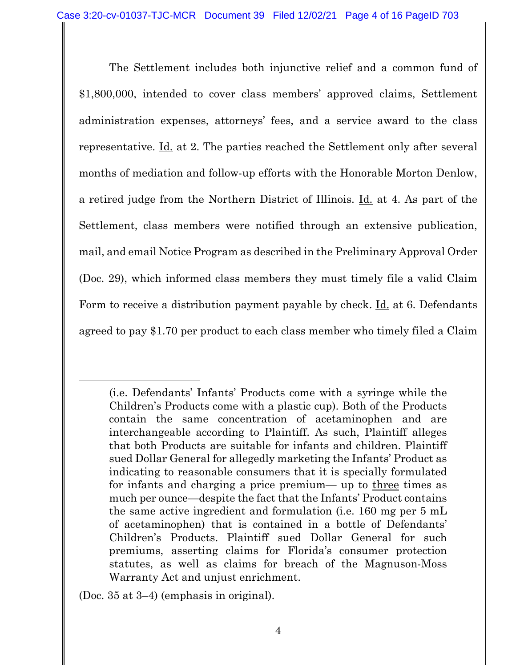The Settlement includes both injunctive relief and a common fund of \$1,800,000, intended to cover class members' approved claims, Settlement administration expenses, attorneys' fees, and a service award to the class representative. Id. at 2. The parties reached the Settlement only after several months of mediation and follow-up efforts with the Honorable Morton Denlow, a retired judge from the Northern District of Illinois. Id. at 4. As part of the Settlement, class members were notified through an extensive publication, mail, and email Notice Program as described in the Preliminary Approval Order (Doc. 29), which informed class members they must timely file a valid Claim Form to receive a distribution payment payable by check. Id. at 6. Defendants agreed to pay \$1.70 per product to each class member who timely filed a Claim

(Doc. 35 at 3–4) (emphasis in original).

<sup>(</sup>i.e. Defendants' Infants' Products come with a syringe while the Children's Products come with a plastic cup). Both of the Products contain the same concentration of acetaminophen and are interchangeable according to Plaintiff. As such, Plaintiff alleges that both Products are suitable for infants and children. Plaintiff sued Dollar General for allegedly marketing the Infants' Product as indicating to reasonable consumers that it is specially formulated for infants and charging a price premium— up to three times as much per ounce—despite the fact that the Infants' Product contains the same active ingredient and formulation (i.e. 160 mg per 5 mL of acetaminophen) that is contained in a bottle of Defendants' Children's Products. Plaintiff sued Dollar General for such premiums, asserting claims for Florida's consumer protection statutes, as well as claims for breach of the Magnuson-Moss Warranty Act and unjust enrichment.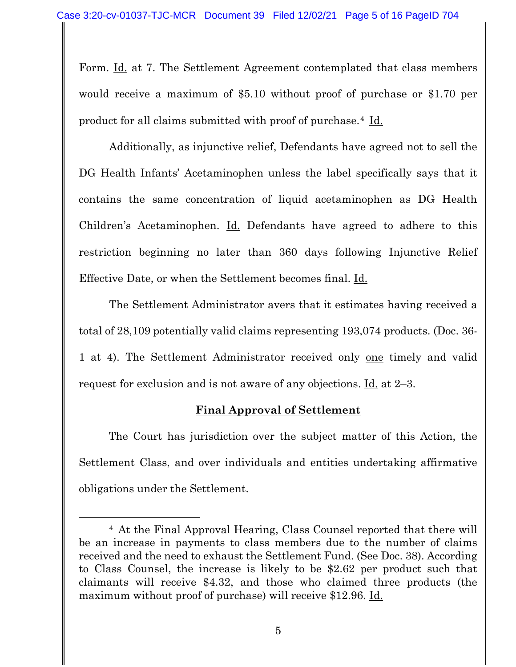Form. Id. at 7. The Settlement Agreement contemplated that class members would receive a maximum of \$5.10 without proof of purchase or \$1.70 per product for all claims submitted with proof of purchase.[4](#page-4-0) Id.

Additionally, as injunctive relief, Defendants have agreed not to sell the DG Health Infants' Acetaminophen unless the label specifically says that it contains the same concentration of liquid acetaminophen as DG Health Children's Acetaminophen. Id. Defendants have agreed to adhere to this restriction beginning no later than 360 days following Injunctive Relief Effective Date, or when the Settlement becomes final. Id.

The Settlement Administrator avers that it estimates having received a total of 28,109 potentially valid claims representing 193,074 products. (Doc. 36- 1 at 4). The Settlement Administrator received only one timely and valid request for exclusion and is not aware of any objections. Id. at 2–3.

## **Final Approval of Settlement**

The Court has jurisdiction over the subject matter of this Action, the Settlement Class, and over individuals and entities undertaking affirmative obligations under the Settlement.

5

<span id="page-4-0"></span><sup>4</sup> At the Final Approval Hearing, Class Counsel reported that there will be an increase in payments to class members due to the number of claims received and the need to exhaust the Settlement Fund. (See Doc. 38). According to Class Counsel, the increase is likely to be \$2.62 per product such that claimants will receive \$4.32, and those who claimed three products (the maximum without proof of purchase) will receive \$12.96. Id.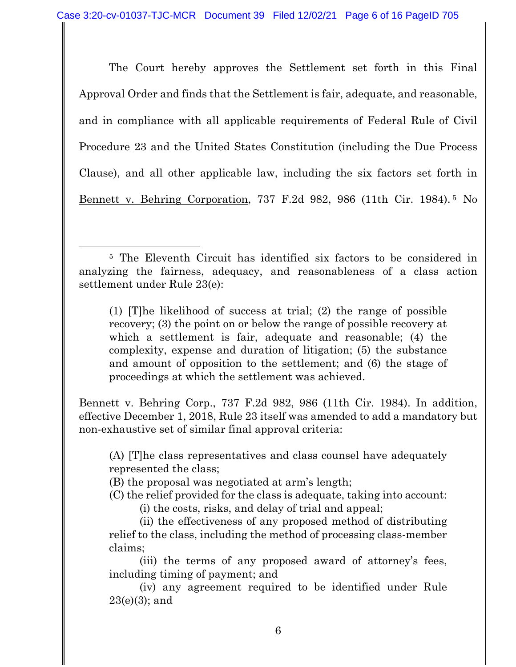The Court hereby approves the Settlement set forth in this Final Approval Order and finds that the Settlement is fair, adequate, and reasonable, and in compliance with all applicable requirements of Federal Rule of Civil Procedure 23 and the United States Constitution (including the Due Process Clause), and all other applicable law, including the six factors set forth in Bennett v. Behring Corporation, 737 F.2d 982, 986 (11th Cir. 1984). [5](#page-5-0) No

(1) [T]he likelihood of success at trial; (2) the range of possible recovery; (3) the point on or below the range of possible recovery at which a settlement is fair, adequate and reasonable; (4) the complexity, expense and duration of litigation; (5) the substance and amount of opposition to the settlement; and (6) the stage of proceedings at which the settlement was achieved.

Bennett v. Behring Corp., 737 F.2d 982, 986 (11th Cir. 1984). In addition, effective December 1, 2018, Rule 23 itself was amended to add a mandatory but non-exhaustive set of similar final approval criteria:

(A) [T]he class representatives and class counsel have adequately represented the class;

- (B) the proposal was negotiated at arm's length;
- (C) the relief provided for the class is adequate, taking into account:

(i) the costs, risks, and delay of trial and appeal;

(ii) the effectiveness of any proposed method of distributing relief to the class, including the method of processing class-member claims;

(iii) the terms of any proposed award of attorney's fees, including timing of payment; and

(iv) any agreement required to be identified under Rule 23(e)(3); and

<span id="page-5-0"></span><sup>5</sup> The Eleventh Circuit has identified six factors to be considered in analyzing the fairness, adequacy, and reasonableness of a class action settlement under Rule 23(e):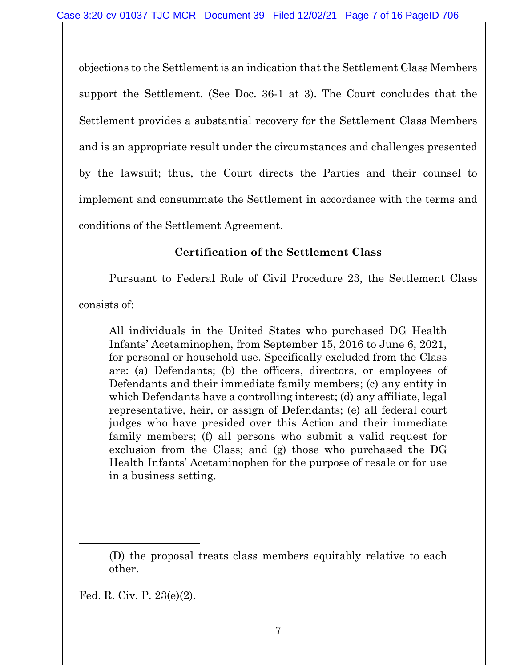objections to the Settlement is an indication that the Settlement Class Members support the Settlement. (See Doc. 36-1 at 3). The Court concludes that the Settlement provides a substantial recovery for the Settlement Class Members and is an appropriate result under the circumstances and challenges presented by the lawsuit; thus, the Court directs the Parties and their counsel to implement and consummate the Settlement in accordance with the terms and conditions of the Settlement Agreement.

## **Certification of the Settlement Class**

Pursuant to Federal Rule of Civil Procedure 23, the Settlement Class

consists of:

All individuals in the United States who purchased DG Health Infants' Acetaminophen, from September 15, 2016 to June 6, 2021, for personal or household use. Specifically excluded from the Class are: (a) Defendants; (b) the officers, directors, or employees of Defendants and their immediate family members; (c) any entity in which Defendants have a controlling interest; (d) any affiliate, legal representative, heir, or assign of Defendants; (e) all federal court judges who have presided over this Action and their immediate family members; (f) all persons who submit a valid request for exclusion from the Class; and (g) those who purchased the DG Health Infants' Acetaminophen for the purpose of resale or for use in a business setting.

Fed. R. Civ. P. 23(e)(2).

<sup>(</sup>D) the proposal treats class members equitably relative to each other.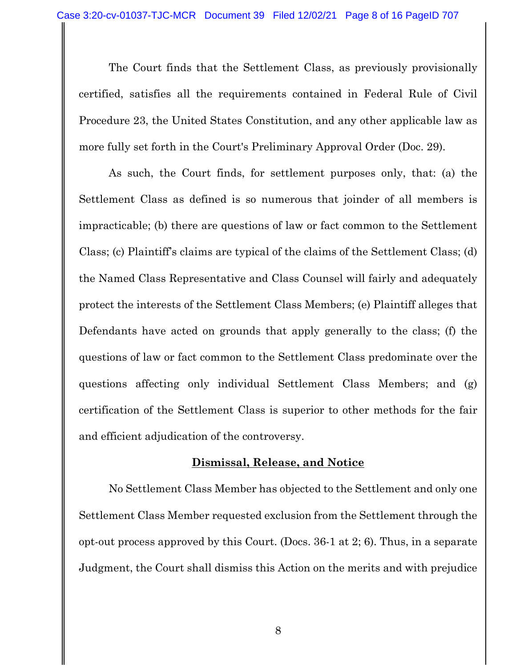The Court finds that the Settlement Class, as previously provisionally certified, satisfies all the requirements contained in Federal Rule of Civil Procedure 23, the United States Constitution, and any other applicable law as more fully set forth in the Court's Preliminary Approval Order (Doc. 29).

As such, the Court finds, for settlement purposes only, that: (a) the Settlement Class as defined is so numerous that joinder of all members is impracticable; (b) there are questions of law or fact common to the Settlement Class; (c) Plaintiff's claims are typical of the claims of the Settlement Class; (d) the Named Class Representative and Class Counsel will fairly and adequately protect the interests of the Settlement Class Members; (e) Plaintiff alleges that Defendants have acted on grounds that apply generally to the class; (f) the questions of law or fact common to the Settlement Class predominate over the questions affecting only individual Settlement Class Members; and (g) certification of the Settlement Class is superior to other methods for the fair and efficient adjudication of the controversy.

#### **Dismissal, Release, and Notice**

No Settlement Class Member has objected to the Settlement and only one Settlement Class Member requested exclusion from the Settlement through the opt-out process approved by this Court. (Docs. 36-1 at 2; 6). Thus, in a separate Judgment, the Court shall dismiss this Action on the merits and with prejudice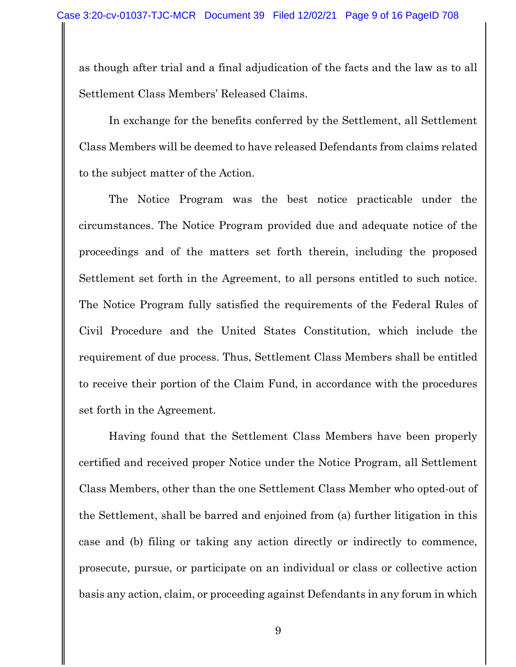as though after trial and a final adjudication of the facts and the law as to all Settlement Class Members' Released Claims.

In exchange for the benefits conferred by the Settlement, all Settlement Class Members will be deemed to have released Defendants from claims related to the subject matter of the Action.

The Notice Program was the best notice practicable under the circumstances. The Notice Program provided due and adequate notice of the proceedings and of the matters set forth therein, including the proposed Settlement set forth in the Agreement, to all persons entitled to such notice. The Notice Program fully satisfied the requirements of the Federal Rules of Civil Procedure and the United States Constitution, which include the requirement of due process. Thus, Settlement Class Members shall be entitled to receive their portion of the Claim Fund, in accordance with the procedures set forth in the Agreement.

Having found that the Settlement Class Members have been properly certified and received proper Notice under the Notice Program, all Settlement Class Members, other than the one Settlement Class Member who opted-out of the Settlement, shall be barred and enjoined from (a) further litigation in this case and (b) filing or taking any action directly or indirectly to commence, prosecute, pursue, or participate on an individual or class or collective action basis any action, claim, or proceeding against Defendants in any forum in which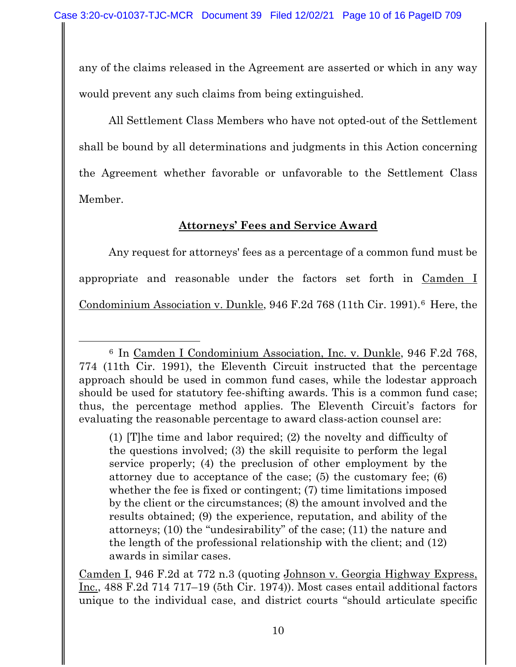any of the claims released in the Agreement are asserted or which in any way would prevent any such claims from being extinguished.

All Settlement Class Members who have not opted-out of the Settlement shall be bound by all determinations and judgments in this Action concerning the Agreement whether favorable or unfavorable to the Settlement Class Member.

# **Attorneys' Fees and Service Award**

Any request for attorneys' fees as a percentage of a common fund must be appropriate and reasonable under the factors set forth in Camden I Condominium Association v. Dunkle, 94[6](#page-9-0) F.2d 768 (11th Cir. 1991).<sup>6</sup> Here, the

Camden I, 946 F.2d at 772 n.3 (quoting Johnson v. Georgia Highway Express, Inc., 488 F.2d 714 717–19 (5th Cir. 1974)). Most cases entail additional factors unique to the individual case, and district courts "should articulate specific

<span id="page-9-0"></span><sup>6</sup> In Camden I Condominium Association, Inc. v. Dunkle, 946 F.2d 768, 774 (11th Cir. 1991), the Eleventh Circuit instructed that the percentage approach should be used in common fund cases, while the lodestar approach should be used for statutory fee-shifting awards. This is a common fund case; thus, the percentage method applies. The Eleventh Circuit's factors for evaluating the reasonable percentage to award class-action counsel are:

<sup>(1) [</sup>T]he time and labor required; (2) the novelty and difficulty of the questions involved; (3) the skill requisite to perform the legal service properly; (4) the preclusion of other employment by the attorney due to acceptance of the case; (5) the customary fee; (6) whether the fee is fixed or contingent; (7) time limitations imposed by the client or the circumstances; (8) the amount involved and the results obtained; (9) the experience, reputation, and ability of the attorneys; (10) the "undesirability" of the case; (11) the nature and the length of the professional relationship with the client; and (12) awards in similar cases.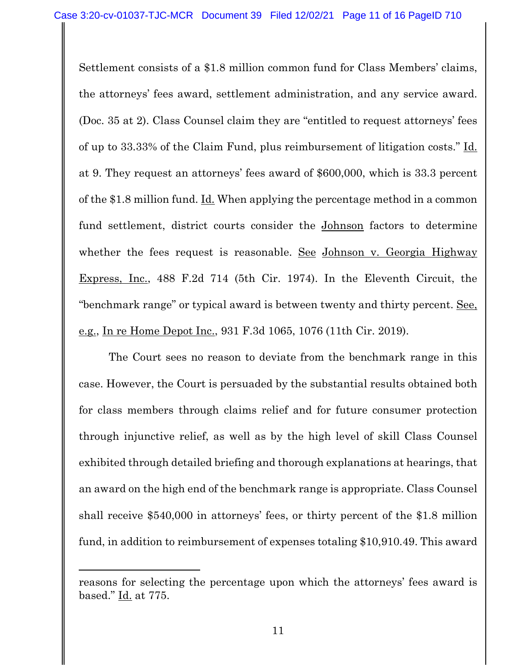Settlement consists of a \$1.8 million common fund for Class Members' claims, the attorneys' fees award, settlement administration, and any service award. (Doc. 35 at 2). Class Counsel claim they are "entitled to request attorneys' fees of up to 33.33% of the Claim Fund, plus reimbursement of litigation costs." Id. at 9. They request an attorneys' fees award of \$600,000, which is 33.3 percent of the \$1.8 million fund. Id. When applying the percentage method in a common fund settlement, district courts consider the Johnson factors to determine whether the fees request is reasonable. See Johnson v. Georgia Highway Express, Inc., 488 F.2d 714 (5th Cir. 1974). In the Eleventh Circuit, the "benchmark range" or typical award is between twenty and thirty percent. See, e.g., In re Home Depot Inc., 931 F.3d 1065, 1076 (11th Cir. 2019).

The Court sees no reason to deviate from the benchmark range in this case. However, the Court is persuaded by the substantial results obtained both for class members through claims relief and for future consumer protection through injunctive relief, as well as by the high level of skill Class Counsel exhibited through detailed briefing and thorough explanations at hearings, that an award on the high end of the benchmark range is appropriate. Class Counsel shall receive \$540,000 in attorneys' fees, or thirty percent of the \$1.8 million fund, in addition to reimbursement of expenses totaling \$10,910.49. This award

reasons for selecting the percentage upon which the attorneys' fees award is based." Id. at 775.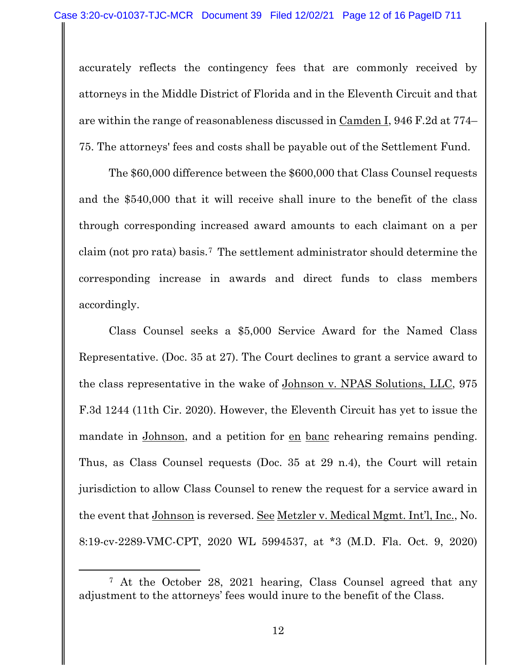accurately reflects the contingency fees that are commonly received by attorneys in the Middle District of Florida and in the Eleventh Circuit and that are within the range of reasonableness discussed in Camden I, 946 F.2d at 774– 75. The attorneys' fees and costs shall be payable out of the Settlement Fund.

The \$60,000 difference between the \$600,000 that Class Counsel requests and the \$540,000 that it will receive shall inure to the benefit of the class through corresponding increased award amounts to each claimant on a per claim (not pro rata) basis.[7](#page-11-0) The settlement administrator should determine the corresponding increase in awards and direct funds to class members accordingly.

Class Counsel seeks a \$5,000 Service Award for the Named Class Representative. (Doc. 35 at 27). The Court declines to grant a service award to the class representative in the wake of Johnson v. NPAS Solutions, LLC, 975 F.3d 1244 (11th Cir. 2020). However, the Eleventh Circuit has yet to issue the mandate in Johnson, and a petition for en banc rehearing remains pending. Thus, as Class Counsel requests (Doc. 35 at 29 n.4), the Court will retain jurisdiction to allow Class Counsel to renew the request for a service award in the event that Johnson is reversed. See Metzler v. Medical Mgmt. Int'l, Inc., No. 8:19-cv-2289-VMC-CPT, 2020 WL 5994537, at \*3 (M.D. Fla. Oct. 9, 2020)

<span id="page-11-0"></span><sup>7</sup> At the October 28, 2021 hearing, Class Counsel agreed that any adjustment to the attorneys' fees would inure to the benefit of the Class.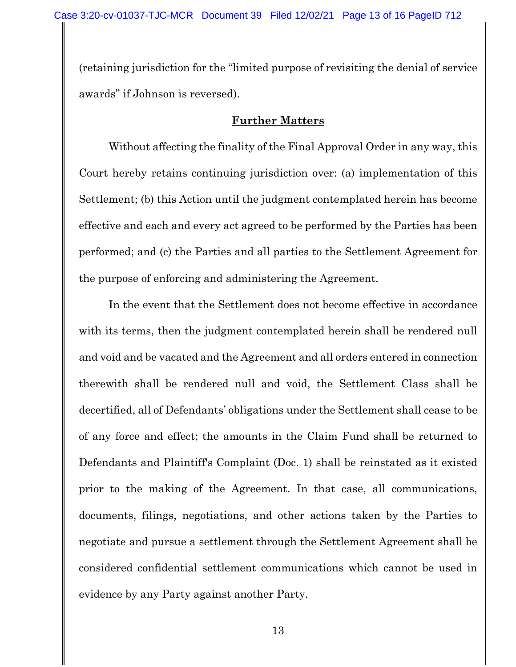(retaining jurisdiction for the "limited purpose of revisiting the denial of service awards" if Johnson is reversed).

#### **Further Matters**

Without affecting the finality of the Final Approval Order in any way, this Court hereby retains continuing jurisdiction over: (a) implementation of this Settlement; (b) this Action until the judgment contemplated herein has become effective and each and every act agreed to be performed by the Parties has been performed; and (c) the Parties and all parties to the Settlement Agreement for the purpose of enforcing and administering the Agreement.

In the event that the Settlement does not become effective in accordance with its terms, then the judgment contemplated herein shall be rendered null and void and be vacated and the Agreement and all orders entered in connection therewith shall be rendered null and void, the Settlement Class shall be decertified, all of Defendants' obligations under the Settlement shall cease to be of any force and effect; the amounts in the Claim Fund shall be returned to Defendants and Plaintiff's Complaint (Doc. 1) shall be reinstated as it existed prior to the making of the Agreement. In that case, all communications, documents, filings, negotiations, and other actions taken by the Parties to negotiate and pursue a settlement through the Settlement Agreement shall be considered confidential settlement communications which cannot be used in evidence by any Party against another Party.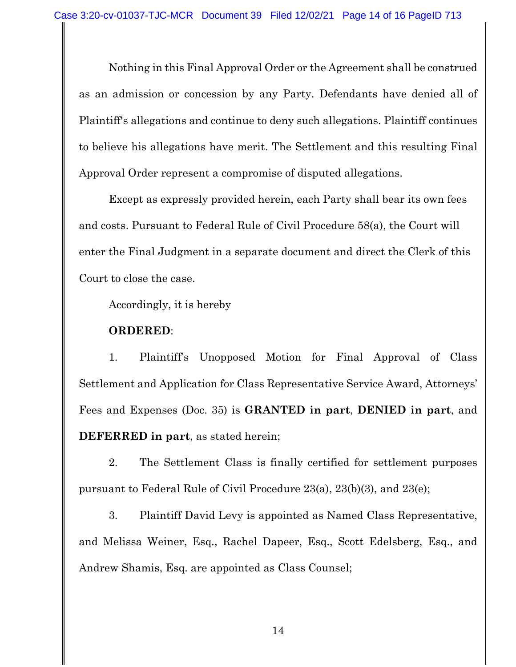Nothing in this Final Approval Order or the Agreement shall be construed as an admission or concession by any Party. Defendants have denied all of Plaintiff's allegations and continue to deny such allegations. Plaintiff continues to believe his allegations have merit. The Settlement and this resulting Final Approval Order represent a compromise of disputed allegations.

Except as expressly provided herein, each Party shall bear its own fees and costs. Pursuant to Federal Rule of Civil Procedure 58(a), the Court will enter the Final Judgment in a separate document and direct the Clerk of this Court to close the case.

Accordingly, it is hereby

#### **ORDERED**:

1. Plaintiff's Unopposed Motion for Final Approval of Class Settlement and Application for Class Representative Service Award, Attorneys' Fees and Expenses (Doc. 35) is **GRANTED in part**, **DENIED in part**, and **DEFERRED in part**, as stated herein;

2. The Settlement Class is finally certified for settlement purposes pursuant to Federal Rule of Civil Procedure 23(a), 23(b)(3), and 23(e);

3. Plaintiff David Levy is appointed as Named Class Representative, and Melissa Weiner, Esq., Rachel Dapeer, Esq., Scott Edelsberg, Esq., and Andrew Shamis, Esq. are appointed as Class Counsel;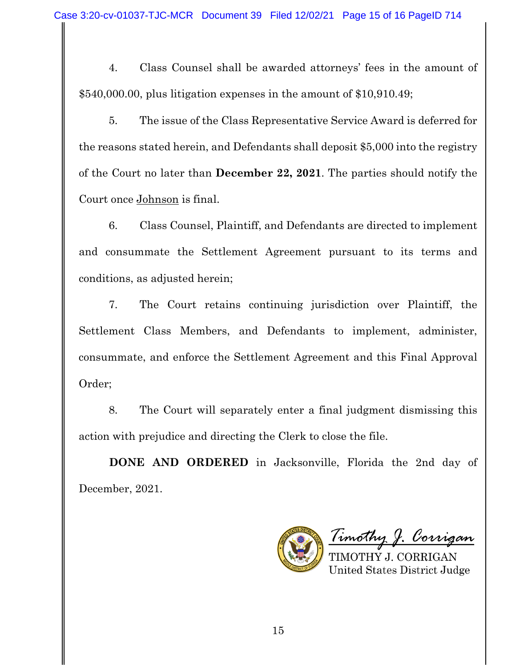4. Class Counsel shall be awarded attorneys' fees in the amount of \$540,000.00, plus litigation expenses in the amount of \$10,910.49;

5. The issue of the Class Representative Service Award is deferred for the reasons stated herein, and Defendants shall deposit \$5,000 into the registry of the Court no later than **December 22, 2021**. The parties should notify the Court once Johnson is final.

6. Class Counsel, Plaintiff, and Defendants are directed to implement and consummate the Settlement Agreement pursuant to its terms and conditions, as adjusted herein;

7. The Court retains continuing jurisdiction over Plaintiff, the Settlement Class Members, and Defendants to implement, administer, consummate, and enforce the Settlement Agreement and this Final Approval Order;

8. The Court will separately enter a final judgment dismissing this action with prejudice and directing the Clerk to close the file.

**DONE AND ORDERED** in Jacksonville, Florida the 2nd day of December, 2021.